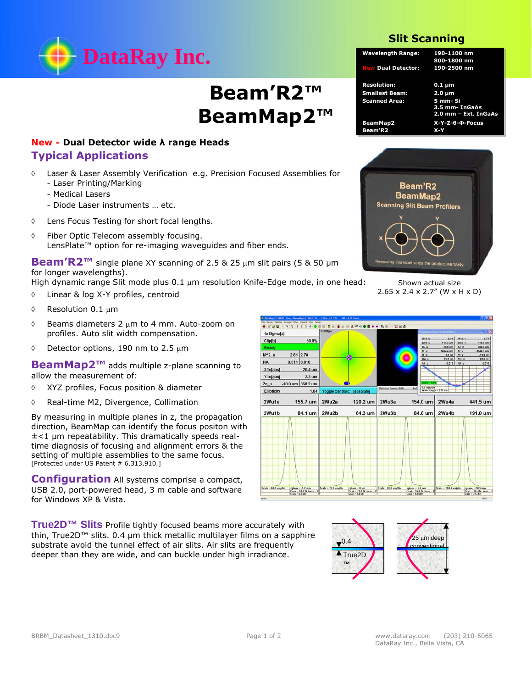

## **Beam'R2™ BeamMap2™**

## *New -* **Dual Detector wide λ range Heads Typical Applications**

- Laser & Laser Assembly Verification e.g. Precision Focused Assemblies for
	- Laser Printing/Marking
	- Medical Lasers
	- Diode Laser instruments … etc.
- Lens Focus Testing for short focal lengths.
- Fiber Optic Telecom assembly focusing. LensPlate™ option for re-imaging waveguides and fiber ends.

**Beam'R2™** single plane XY scanning of 2.5 & 25 µm slit pairs (5 & 50 µm for longer wavelengths).

High dynamic range Slit mode plus  $0.1 \mu m$  resolution Knife-Edge mode, in one head:

- Linear & log X-Y profiles, centroid
- $\Diamond$  Resolution 0.1 µm
- $\Diamond$  Beams diameters 2  $\mu$ m to 4 mm. Auto-zoom on profiles. Auto slit width compensation.
- $\lozenge$  Detector options, 190 nm to 2.5  $\mu$ m

**BeamMap2™** adds multiple z-plane scanning to allow the measurement of:

- XYZ profiles, Focus position & diameter
- Real-time M2, Divergence, Collimation

By measuring in multiple planes in z, the propagation direction, BeamMap can identify the focus positon with  $\pm$ <1 µm repeatability. This dramatically speeds realtime diagnosis of focusing and alignment errors & the setting of multiple assemblies to the same focus. [Protected under US Patent # 6,313,910.]

**Configuration** All systems comprise a compact, USB 2.0, port-powered head, 3 m cable and software for Windows XP & Vista.

**True2D™ Slits** Profile tightly focused beams more accurately with thin, True2D™ slits. 0.4 μm thick metallic multilayer films on a sapphire substrate avoid the tunnel effect of air slits. Air slits are frequently deeper than they are wide, and can buckle under high irradiance.

## **Slit Scanning**

| <b>Wavelength Range:</b>  | 190-1100 nm<br>800-1800 nm |  |  |
|---------------------------|----------------------------|--|--|
| <b>New Dual Detector:</b> | 190-2500 nm                |  |  |
| <b>Resolution:</b>        | $0.1 \mu m$                |  |  |
| <b>Smallest Beam:</b>     | $2.0 \mu m$                |  |  |
| <b>Scanned Area:</b>      | 5 mm-Si                    |  |  |
|                           | 3.5 mm- InGaAs             |  |  |
|                           | 2.0 mm - Ext. InGaAs       |  |  |
| <b>BeamMap2</b>           | X-Y-Z-0-Ф-Focus            |  |  |
| <b>Beam'R2</b>            | $X-Y$                      |  |  |



Shown actual size 2.65 x 2.4 x 2.7" (W x H x D)